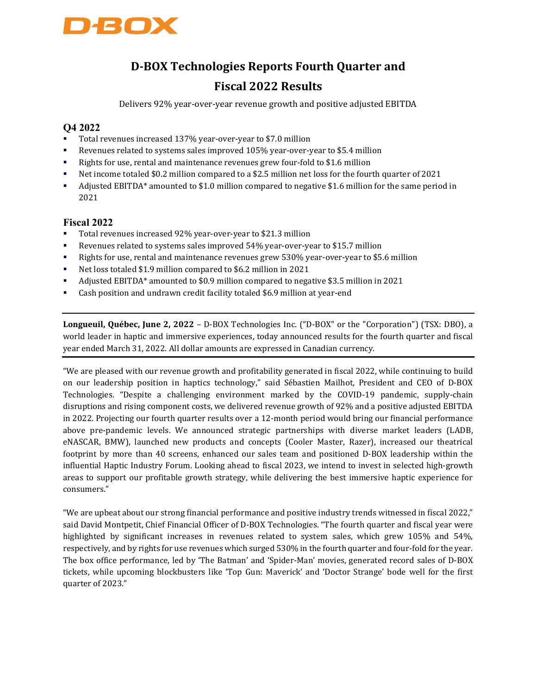

## D-BOX Technologies Reports Fourth Quarter and Fiscal 2022 Results

Delivers 92% year-over-year revenue growth and positive adjusted EBITDA

#### Q4 2022

- Total revenues increased 137% year-over-year to \$7.0 million
- Revenues related to systems sales improved 105% year-over-year to \$5.4 million
- Rights for use, rental and maintenance revenues grew four-fold to \$1.6 million
- Net income totaled \$0.2 million compared to a \$2.5 million net loss for the fourth quarter of 2021
- Adjusted EBITDA\* amounted to \$1.0 million compared to negative \$1.6 million for the same period in 2021

#### Fiscal 2022

- Total revenues increased 92% year-over-year to \$21.3 million
- Revenues related to systems sales improved 54% year-over-year to \$15.7 million
- Rights for use, rental and maintenance revenues grew 530% year-over-year to \$5.6 million
- Net loss totaled \$1.9 million compared to \$6.2 million in 2021
- Adjusted EBITDA\* amounted to \$0.9 million compared to negative \$3.5 million in 2021
- Cash position and undrawn credit facility totaled \$6.9 million at year-end

Longueuil, Québec, June 2, 2022 – D-BOX Technologies Inc. ("D-BOX" or the "Corporation") (TSX: DBO), a world leader in haptic and immersive experiences, today announced results for the fourth quarter and fiscal year ended March 31, 2022. All dollar amounts are expressed in Canadian currency.

"We are pleased with our revenue growth and profitability generated in fiscal 2022, while continuing to build on our leadership position in haptics technology," said Sébastien Mailhot, President and CEO of D-BOX Technologies. "Despite a challenging environment marked by the COVID-19 pandemic, supply-chain disruptions and rising component costs, we delivered revenue growth of 92% and a positive adjusted EBITDA in 2022. Projecting our fourth quarter results over a 12-month period would bring our financial performance above pre-pandemic levels. We announced strategic partnerships with diverse market leaders (LADB, eNASCAR, BMW), launched new products and concepts (Cooler Master, Razer), increased our theatrical footprint by more than 40 screens, enhanced our sales team and positioned D-BOX leadership within the influential Haptic Industry Forum. Looking ahead to fiscal 2023, we intend to invest in selected high-growth areas to support our profitable growth strategy, while delivering the best immersive haptic experience for consumers."

"We are upbeat about our strong financial performance and positive industry trends witnessed in fiscal 2022," said David Montpetit, Chief Financial Officer of D-BOX Technologies. "The fourth quarter and fiscal year were highlighted by significant increases in revenues related to system sales, which grew 105% and 54%, respectively, and by rights for use revenues which surged 530% in the fourth quarter and four-fold for the year. The box office performance, led by 'The Batman' and 'Spider-Man' movies, generated record sales of D-BOX tickets, while upcoming blockbusters like 'Top Gun: Maverick' and 'Doctor Strange' bode well for the first quarter of 2023."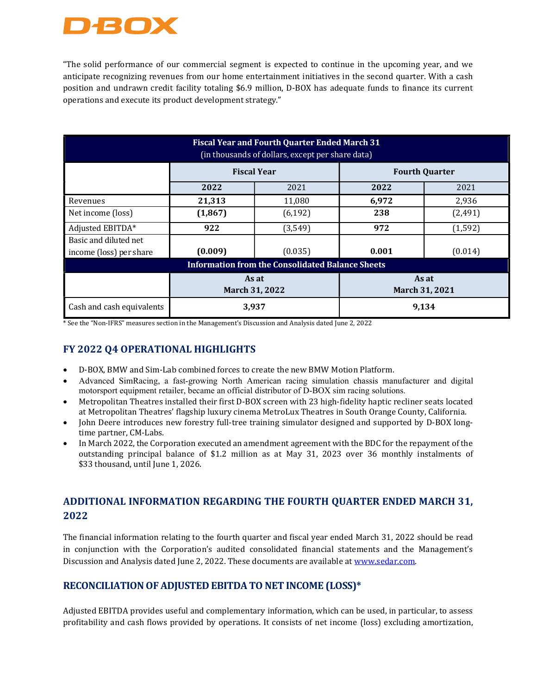

"The solid performance of our commercial segment is expected to continue in the upcoming year, and we anticipate recognizing revenues from our home entertainment initiatives in the second quarter. With a cash position and undrawn credit facility totaling \$6.9 million, D-BOX has adequate funds to finance its current operations and execute its product development strategy."

| <b>Fiscal Year and Fourth Quarter Ended March 31</b><br>(in thousands of dollars, except per share data) |                         |          |                         |          |  |  |  |
|----------------------------------------------------------------------------------------------------------|-------------------------|----------|-------------------------|----------|--|--|--|
|                                                                                                          | <b>Fiscal Year</b>      |          | <b>Fourth Quarter</b>   |          |  |  |  |
|                                                                                                          | 2022                    | 2021     | 2022                    | 2021     |  |  |  |
| Revenues                                                                                                 | 21,313                  | 11,080   | 6,972                   | 2,936    |  |  |  |
| Net income (loss)                                                                                        | (1, 867)                | (6, 192) | 238                     | (2, 491) |  |  |  |
| Adjusted EBITDA*                                                                                         | 922                     | (3,549)  | 972                     | (1, 592) |  |  |  |
| Basic and diluted net                                                                                    |                         |          |                         |          |  |  |  |
| income (loss) per share                                                                                  | (0.009)                 | (0.035)  | 0.001                   | (0.014)  |  |  |  |
| <b>Information from the Consolidated Balance Sheets</b>                                                  |                         |          |                         |          |  |  |  |
|                                                                                                          | As at<br>March 31, 2022 |          | As at<br>March 31, 2021 |          |  |  |  |
| Cash and cash equivalents                                                                                | 3,937                   |          | 9,134                   |          |  |  |  |

\* See the "Non-IFRS" measures section in the Management's Discussion and Analysis dated June 2, 2022

#### FY 2022 Q4 OPERATIONAL HIGHLIGHTS

- D-BOX, BMW and Sim-Lab combined forces to create the new BMW Motion Platform.
- Advanced SimRacing, a fast-growing North American racing simulation chassis manufacturer and digital motorsport equipment retailer, became an official distributor of D-BOX sim racing solutions.
- Metropolitan Theatres installed their first D-BOX screen with 23 high-fidelity haptic recliner seats located at Metropolitan Theatres' flagship luxury cinema MetroLux Theatres in South Orange County, California.
- John Deere introduces new forestry full-tree training simulator designed and supported by D-BOX longtime partner, CM-Labs.
- In March 2022, the Corporation executed an amendment agreement with the BDC for the repayment of the outstanding principal balance of \$1.2 million as at May 31, 2023 over 36 monthly instalments of \$33 thousand, until June 1, 2026.

### ADDITIONAL INFORMATION REGARDING THE FOURTH QUARTER ENDED MARCH 31, 2022

The financial information relating to the fourth quarter and fiscal year ended March 31, 2022 should be read in conjunction with the Corporation's audited consolidated financial statements and the Management's Discussion and Analysis dated June 2, 2022. These documents are available at www.sedar.com.

#### RECONCILIATION OF ADJUSTED EBITDA TO NET INCOME (LOSS)\*

Adjusted EBITDA provides useful and complementary information, which can be used, in particular, to assess profitability and cash flows provided by operations. It consists of net income (loss) excluding amortization,